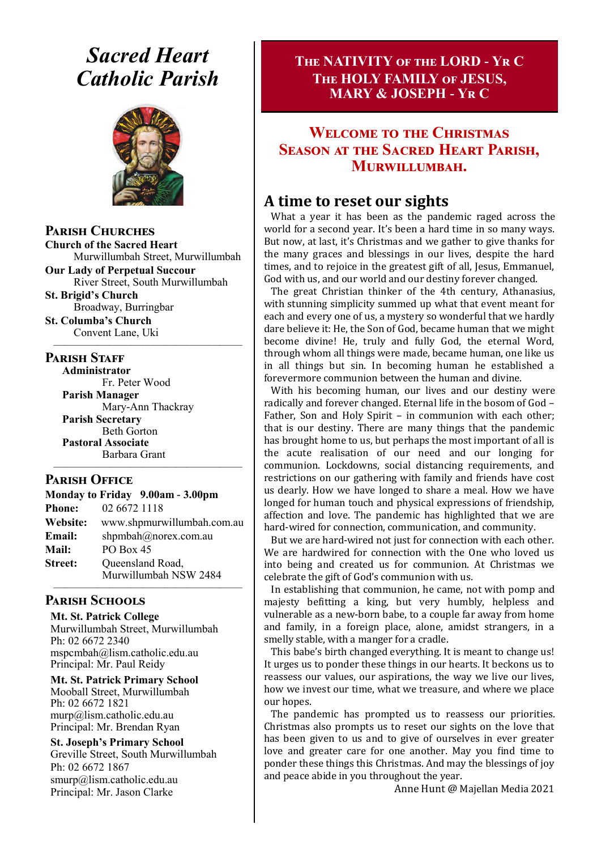# *Sacred Heart Catholic Parish*



**Parish Churches**

**Church of the Sacred Heart** Murwillumbah Street, Murwillumbah

**Our Lady of Perpetual Succour** River Street, South Murwillumbah

**St. Brigid's Church** Broadway, Burringbar

**St. Columba's Church** Convent Lane, Uki —————————————————

#### **PARISH STAFF**

**Administrator** Fr. Peter Wood **Parish Manager** Mary-Ann Thackray **Parish Secretary** Beth Gorton **Pastoral Associate** Barbara Grant

#### **Parish Office**

| Monday to Friday 9.00am - 3.00pm |                            |  |
|----------------------------------|----------------------------|--|
| <b>Phone:</b>                    | 02 6672 1118               |  |
| <b>Website:</b>                  | www.shpmurwillumbah.com.au |  |
| Email:                           | shpmbah@norex.com.au       |  |
| <b>Mail:</b>                     | PO Box 45                  |  |
| <b>Street:</b>                   | Queensland Road,           |  |
|                                  | Murwillumbah NSW 2484      |  |

—————————————————

#### ————————————————— **Parish Schools**

**Mt. St. Patrick College** Murwillumbah Street, Murwillumbah Ph: 02 6672 2340 mspcmbah@lism.catholic.edu.au Principal: Mr. Paul Reidy

**Mt. St. Patrick Primary School** Mooball Street, Murwillumbah Ph: 02 6672 1821 murp@lism.catholic.edu.au Principal: Mr. Brendan Ryan

**St. Joseph's Primary School** Greville Street, South Murwillumbah Ph: 02 6672 1867 smurp@lism.catholic.edu.au Principal: Mr. Jason Clarke

### **The NATIVITY of the LORD - Yr C The HOLY FAMILY of JESUS, MARY & JOSEPH - Yr C**

### **Welcome to the Christmas Season at the Sacred Heart Parish, Murwillumbah.**

### **A time to reset our sights**

What a year it has been as the pandemic raged across the world for a second year. It's been a hard time in so many ways. But now, at last, it's Christmas and we gather to give thanks for the many graces and blessings in our lives, despite the hard times, and to rejoice in the greatest gift of all, Jesus, Emmanuel, God with us, and our world and our destiny forever changed.

The great Christian thinker of the 4th century, Athanasius, with stunning simplicity summed up what that event meant for each and every one of us, a mystery so wonderful that we hardly dare believe it: He, the Son of God, became human that we might become divine! He, truly and fully God, the eternal Word, through whom all things were made, became human, one like us in all things but sin. In becoming human he established a forevermore communion between the human and divine.

With his becoming human, our lives and our destiny were radically and forever changed. Eternal life in the bosom of God – Father, Son and Holy Spirit – in communion with each other; that is our destiny. There are many things that the pandemic has brought home to us, but perhaps the most important of all is the acute realisation of our need and our longing for communion. Lockdowns, social distancing requirements, and restrictions on our gathering with family and friends have cost us dearly. How we have longed to share a meal. How we have longed for human touch and physical expressions of friendship, affection and love. The pandemic has highlighted that we are hard-wired for connection, communication, and community.

But we are hard-wired not just for connection with each other. We are hardwired for connection with the One who loved us into being and created us for communion. At Christmas we celebrate the gift of God's communion with us.

In establishing that communion, he came, not with pomp and majesty befitting a king, but very humbly, helpless and vulnerable as a new-born babe, to a couple far away from home and family, in a foreign place, alone, amidst strangers, in a smelly stable, with a manger for a cradle.

This babe's birth changed everything. It is meant to change us! It urges us to ponder these things in our hearts. It beckons us to reassess our values, our aspirations, the way we live our lives, how we invest our time, what we treasure, and where we place our hopes.

The pandemic has prompted us to reassess our priorities. Christmas also prompts us to reset our sights on the love that has been given to us and to give of ourselves in ever greater love and greater care for one another. May you find time to ponder these things this Christmas. And may the blessings of joy and peace abide in you throughout the year.

Anne Hunt @ Majellan Media 2021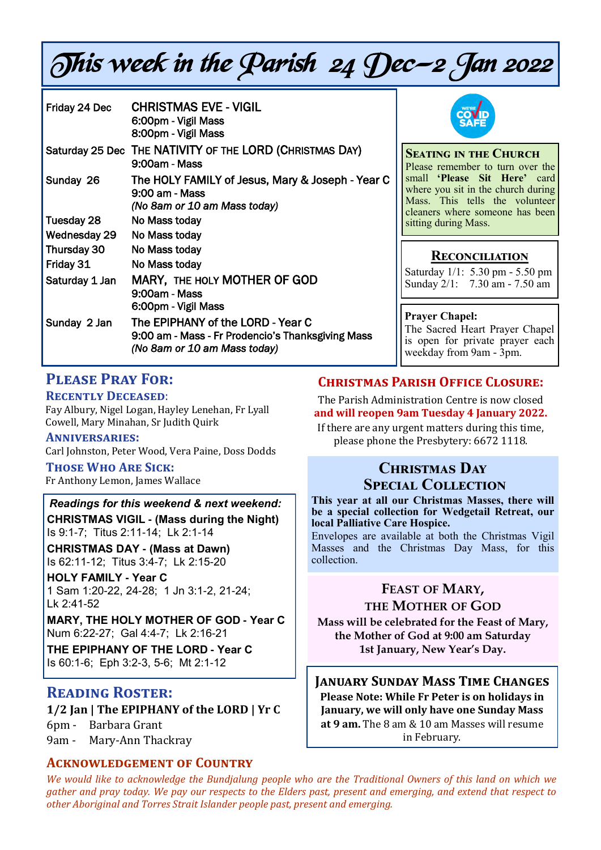# This week in the Parish 24 Dec—2 Jan 2022

| Friday 24 Dec  | <b>CHRISTMAS EVE - VIGIL</b><br>6:00pm - Vigil Mass<br>8:00pm - Vigil Mass                                             |  |
|----------------|------------------------------------------------------------------------------------------------------------------------|--|
|                | Saturday 25 Dec THE NATIVITY OF THE LORD (CHRISTMAS DAY)<br>9:00am - Mass                                              |  |
| Sunday 26      | The HOLY FAMILY of Jesus, Mary & Joseph - Year C<br>9:00 am - Mass<br>(No 8am or 10 am Mass today)                     |  |
| Tuesday 28     | No Mass today                                                                                                          |  |
| Wednesday 29   | No Mass today                                                                                                          |  |
| Thursday 30    | No Mass today                                                                                                          |  |
| Friday 31      | No Mass today                                                                                                          |  |
| Saturday 1 Jan | <b>MARY, THE HOLY MOTHER OF GOD</b><br>9:00am - Mass<br>6:00pm - Vigil Mass                                            |  |
| Sunday 2 Jan   | The EPIPHANY of the LORD - Year C<br>9:00 am - Mass - Fr Prodencio's Thanksgiving Mass<br>(No 8am or 10 am Mass today) |  |



**Seating in the Church** Please remember to turn over the small **'Please Sit Here'** card where you sit in the church during Mass. This tells the volunteer cleaners where someone has been sitting during Mass.

### **Reconciliation**

Saturday 1/1: 5.30 pm - 5.50 pm Sunday 2/1: 7.30 am - 7.50 am

#### **Prayer Chapel:**

The Sacred Heart Prayer Chapel s open for private prayer each weekday from 9am - 3pm.

### **Please Pray For:**

#### **Recently Deceased**:

Fay Albury, Nigel Logan, Hayley Lenehan, Fr Lyall Cowell, Mary Minahan, Sr Judith Quirk

#### **Anniversaries:**

Carl Johnston, Peter Wood, Vera Paine, Doss Dodds

#### **Those Who Are Sick:**

Fr Anthony Lemon, James Wallace

### *Readings for this weekend & next weekend:*

**CHRISTMAS VIGIL - (Mass during the Night)**  Is 9:1-7; Titus 2:11-14; Lk 2:1-14

**CHRISTMAS DAY - (Mass at Dawn)**  Is 62:11-12; Titus 3:4-7; Lk 2:15-20

**HOLY FAMILY - Year C**  1 Sam 1:20-22, 24-28; 1 Jn 3:1-2, 21-24; Lk 2:41-52

**MARY, THE HOLY MOTHER OF GOD - Year C**  Num 6:22-27; Gal 4:4-7; Lk 2:16-21

**THE EPIPHANY OF THE LORD - Year C**  Is 60:1-6; Eph 3:2-3, 5-6; Mt 2:1-12

### **Reading Roster:**

#### **1/2 Jan | The EPIPHANY of the LORD | Yr C**

6pm - Barbara Grant

9am - Mary-Ann Thackray

### **Acknowledgement of Country**

### **Christmas Parish Office Closure:**

The Parish Administration Centre is now closed **and will reopen 9am Tuesday 4 January 2022.** 

If there are any urgent matters during this time, please phone the Presbytery: 6672 1118.

### **Christmas Day Special Collection**

**This year at all our Christmas Masses, there will be a special collection for Wedgetail Retreat, our local Palliative Care Hospice.** 

Envelopes are available at both the Christmas Vigil Masses and the Christmas Day Mass, for this collection.

### **FEAST OF MARY,**

**THE MOTHER OF GOD**

**Mass will be celebrated for the Feast of Mary, the Mother of God at 9:00 am Saturday 1st January, New Year's Day.**

**January Sunday Mass Time Changes Please Note: While Fr Peter is on holidays in January, we will only have one Sunday Mass at 9 am.** The 8 am & 10 am Masses will resume in February.

*We would like to acknowledge the Bundjalung people who are the Traditional Owners of this land on which we gather and pray today. We pay our respects to the Elders past, present and emerging, and extend that respect to other Aboriginal and Torres Strait Islander people past, present and emerging.*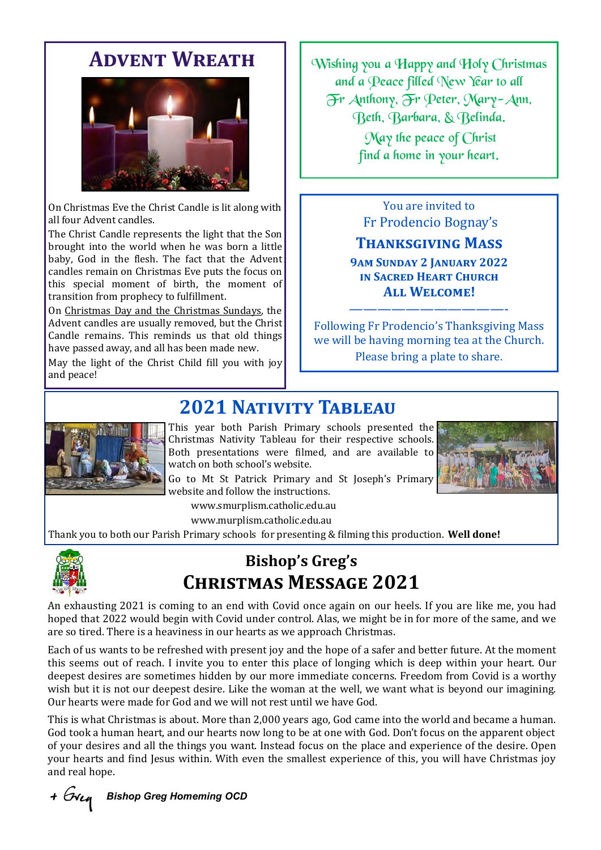## **Advent Wreath**



On Christmas Eve the Christ Candle is lit along with all four Advent candles.

The Christ Candle represents the light that the Son brought into the world when he was born a little baby, God in the flesh. The fact that the Advent candles remain on Christmas Eve puts the focus on this special moment of birth, the moment of transition from prophecy to fulfillment.

On [Christmas Day and the Christmas Sundays,](https://anglicancompass.com/christmastide-a-rookie-anglican-guide-to-the-12-days-of-christmas/) the Advent candles are usually removed, but the Christ Candle remains. This reminds us that old things have passed away, and all has been made new.

May the light of the Christ Child fill you with joy and peace!

Wishing you a Happy and Holy Christmas and a Peace filled New Year to all Fr Anthony, Fr Peter, Mary-Ann, Beth, Barbara, & Belinda.

> May the peace of Christ find a home in your heart.

You are invited to Fr Prodencio Bognay's

### **Thanksgiving Mass**

**9am Sunday 2 January 2022 in Sacred Heart Church All Welcome!**

Following Fr Prodencio's Thanksgiving Mass we will be having morning tea at the Church. Please bring a plate to share.

———————————-

# **2021 Nativity Tableau**



This year both Parish Primary schools presented the Christmas Nativity Tableau for their respective schools. Both presentations were filmed, and are available to watch on both school's website.

Go to Mt St Patrick Primary and St Joseph's Primary website and follow the instructions.

www.smurplism.catholic.edu.au

www.murplism.catholic.edu.au

Thank you to both our Parish Primary schools for presenting & filming this production. **Well done!**



# **Bishop's Greg's Christmas Message 2021**

An exhausting 2021 is coming to an end with Covid once again on our heels. If you are like me, you had hoped that 2022 would begin with Covid under control. Alas, we might be in for more of the same, and we are so tired. There is a heaviness in our hearts as we approach Christmas.

Each of us wants to be refreshed with present joy and the hope of a safer and better future. At the moment this seems out of reach. I invite you to enter this place of longing which is deep within your heart. Our deepest desires are sometimes hidden by our more immediate concerns. Freedom from Covid is a worthy wish but it is not our deepest desire. Like the woman at the well, we want what is beyond our imagining. Our hearts were made for God and we will not rest until we have God.

This is what Christmas is about. More than 2,000 years ago, God came into the world and became a human. God took a human heart, and our hearts now long to be at one with God. Don't focus on the apparent object of your desires and all the things you want. Instead focus on the place and experience of the desire. Open your hearts and find Jesus within. With even the smallest experience of this, you will have Christmas joy and real hope.

+ Gren *Bishop Greg Homeming OCD*